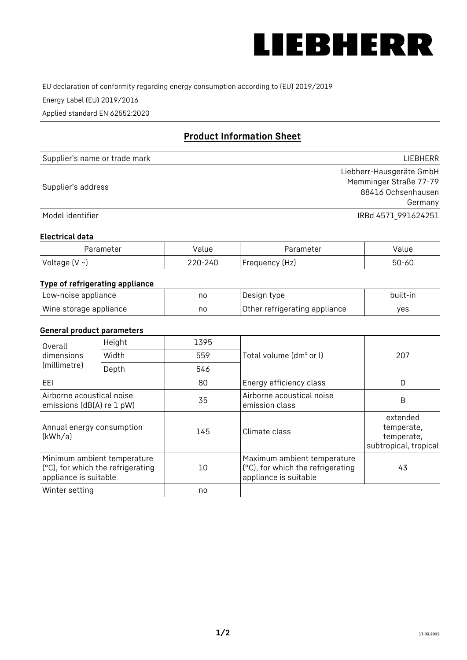

EU declaration of conformity regarding energy consumption according to (EU) 2019/2019

Energy Label (EU) 2019/2016

Applied standard EN 62552:2020

# **Product Information Sheet**

| Supplier's name or trade mark | <b>LIFBHFRR</b>          |
|-------------------------------|--------------------------|
|                               | Liebherr-Hausgeräte GmbH |
| Supplier's address            | Memminger Straße 77-79   |
|                               | 88416 Ochsenhausen       |
|                               | Germany                  |
| Model identifier              | IRBd 4571 991624251      |

#### **Electrical data**

| Parameter           | Value   | Parameter      | alue/     |
|---------------------|---------|----------------|-----------|
| Voltage (V $\sim$ ) | 220-240 | Frequency (Hz) | $50 - 60$ |

# **Type of refrigerating appliance**

| Low-noise appliance    | no | Design type                   | built-in |
|------------------------|----|-------------------------------|----------|
| Wine storage appliance | no | Other refrigerating appliance | yes      |

### **General product parameters**

| Height<br>Overall<br>dimensions<br>Width<br>(millimetre)<br>Depth |                                                                  | 1395 |                                                                                           | 207                                                           |
|-------------------------------------------------------------------|------------------------------------------------------------------|------|-------------------------------------------------------------------------------------------|---------------------------------------------------------------|
|                                                                   |                                                                  | 559  | Total volume (dm <sup>3</sup> or l)                                                       |                                                               |
|                                                                   |                                                                  | 546  |                                                                                           |                                                               |
| EEL                                                               |                                                                  | 80   | Energy efficiency class                                                                   | D                                                             |
| Airborne acoustical noise<br>emissions (dB(A) re 1 pW)            |                                                                  | 35   | Airborne acoustical noise<br>emission class                                               | B                                                             |
| Annual energy consumption<br>(kWh/a)                              |                                                                  | 145  | Climate class                                                                             | extended<br>temperate,<br>temperate,<br>subtropical, tropical |
| appliance is suitable                                             | Minimum ambient temperature<br>(°C), for which the refrigerating | 10   | Maximum ambient temperature<br>(°C), for which the refrigerating<br>appliance is suitable | 43                                                            |
| Winter setting                                                    |                                                                  | no   |                                                                                           |                                                               |